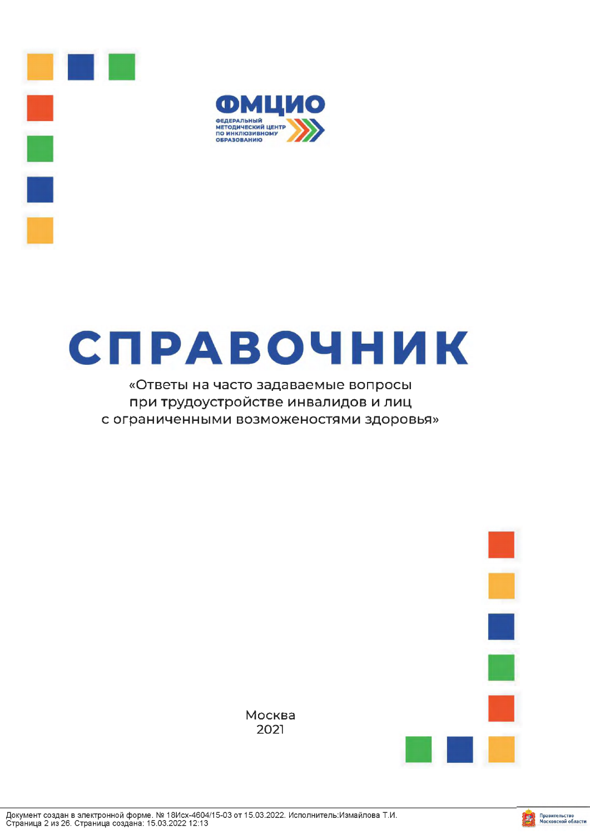



# СПРАВОЧНИК

# «Ответы на часто задаваемые вопросы при трудоустройстве инвалидов и лиц с ограниченными возможеностями здоровья»



Москва 2021

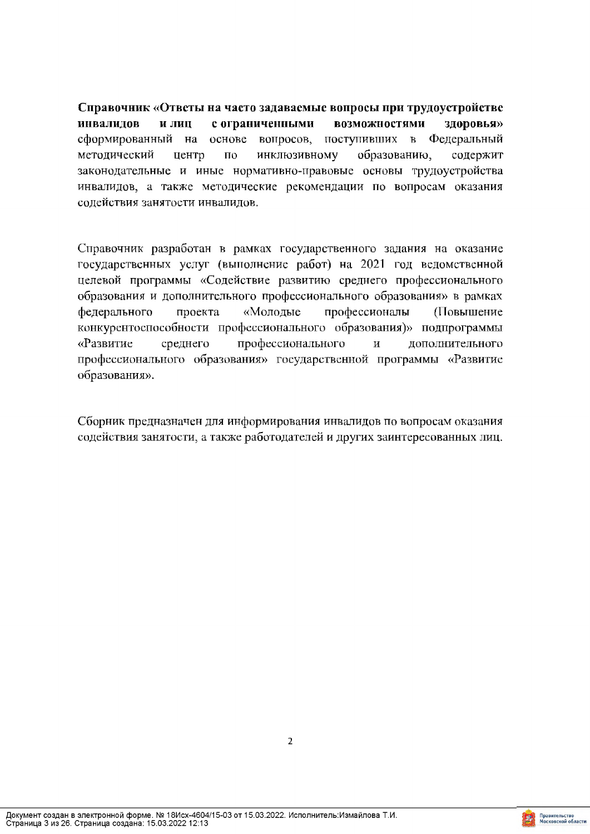Справочник «Ответы на часто задаваемые вопросы при трудоустройстве инвалидов и лиц с ограниченными **ВОЗМОЖНОСТЯМИ** здоровья» вопросов, поступивших в Федеральный сформированный на основе инклюзивному образованию, методический центр по содержит законодательные и иные нормативно-правовые основы трудоустройства инвалидов, а также методические рекомендации по вопросам оказания содействия занятости инвалидов.

Справочник разработан в рамках государственного задания на оказание государственных услуг (выполнение работ) на 2021 год ведомственной целевой программы «Содействие развитию среднего профессионального образования и дополнительного профессионального образования» в рамках федерального проекта «Молодые профессионалы (Повышение конкурентоспособности профессионального образования)» подпрограммы профессионального «Развитие среднего  $\mathbf H$ дополнительного профессионального образования» государственной программы «Развитие образования».

Сборник предназначен для информирования инвалидов по вопросам оказания содействия занятости, а также работодателей и других заинтересованных лиц.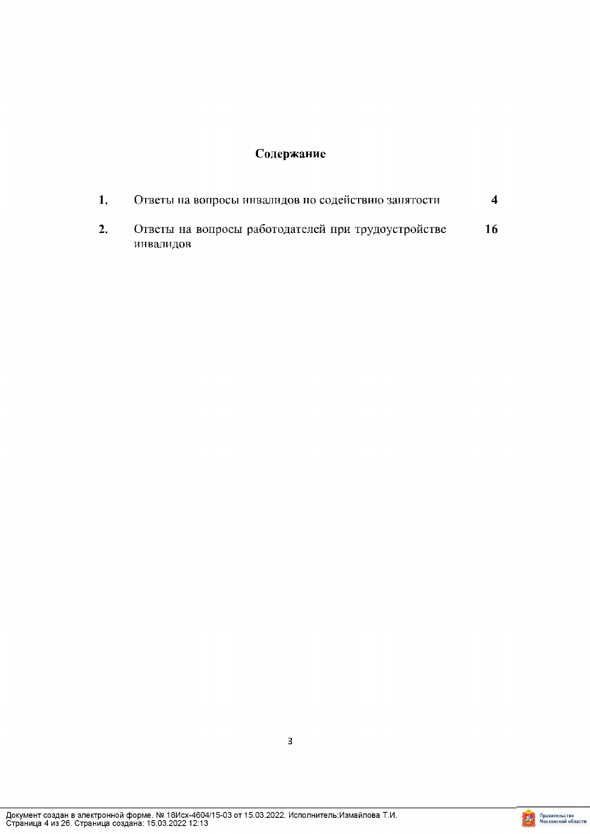# Содержание

|  | Ответы на вопросы инвалидов по содействию занятости |    |
|--|-----------------------------------------------------|----|
|  | Ответы на вопросы работодателей при трудоустройстве | 16 |
|  | инвалидов                                           |    |

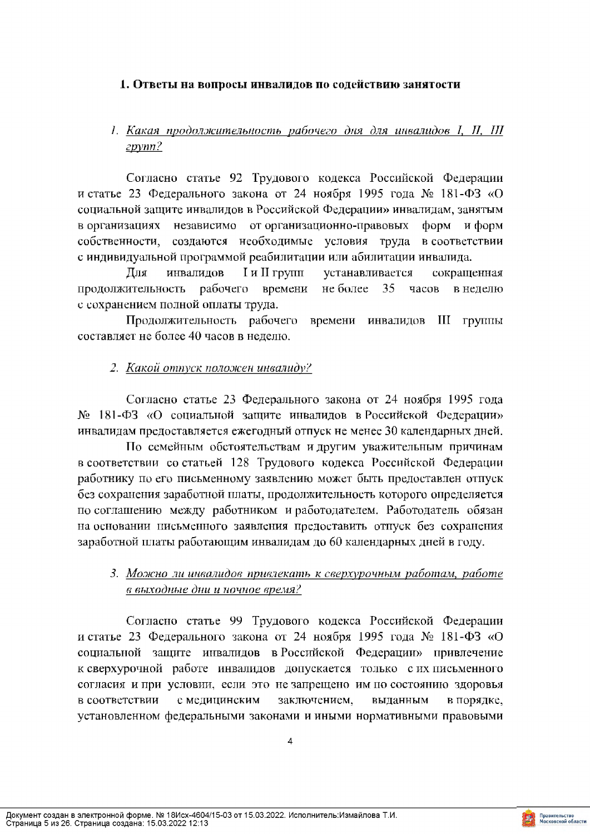#### 1. Ответы на вопросы инвалидов по содействию занятости

# 1. Какая продолжительность рабочего дня для инвалидов I, II, III  $zpvm2$

Согласно статье 92 Трудового кодекса Российской Федерации и статье 23 Федерального закона от 24 ноября 1995 года № 181-ФЗ «О социальной защите инвалидов в Российской Федерации» инвалидам, занятым в организациях независимо от организационно-правовых форм и форм собственности, создаются необходимые условия труда в соответствии с индивидуальной программой реабилитации или абилитации инвалида.

Для инвалидов I и II групп устанавливается сокращенная продолжительность рабочего времени не более 35 часов в неделю с сохранением полной оплаты труда.

Продолжительность рабочего времени инвалидов III группы составляет не более 40 часов в неделю.

## 2. Какой отпуск положен инвалиду?

Согласно статье 23 Федерального закона от 24 ноября 1995 года № 181-ФЗ «О социальной защите инвалидов в Российской Федерации» инвалидам предоставляется ежегодный отпуск не менее 30 календарных дней.

По семейным обстоятельствам и другим уважительным причинам в соответствии со статьей 128 Трудового кодекса Российской Федерации работнику по его письменному заявлению может быть предоставлен отпуск без сохранения заработной платы, продолжительность которого определяется по соглашению между работником и работодателем. Работодатель обязан на основании письменного заявления предоставить отпуск без сохранения заработной платы работающим инвалидам до 60 календарных дней в году.

## 3. Можно ли инвалидов привлекать к сверхурочным работам, работе в выходные дни и ночное время?

Согласно статье 99 Трудового кодекса Российской Федерации и статье 23 Федерального закона от 24 ноября 1995 года № 181-ФЗ «О социальной защите инвалидов в Российской Федерации» привлечение к сверхурочной работе инвалидов допускается только с их письменного согласия и при условии, если это не запрещено им по состоянию здоровья с медицинским в соответствии заключением, выданным в порядке, установленном федеральными законами и иными нормативными правовыми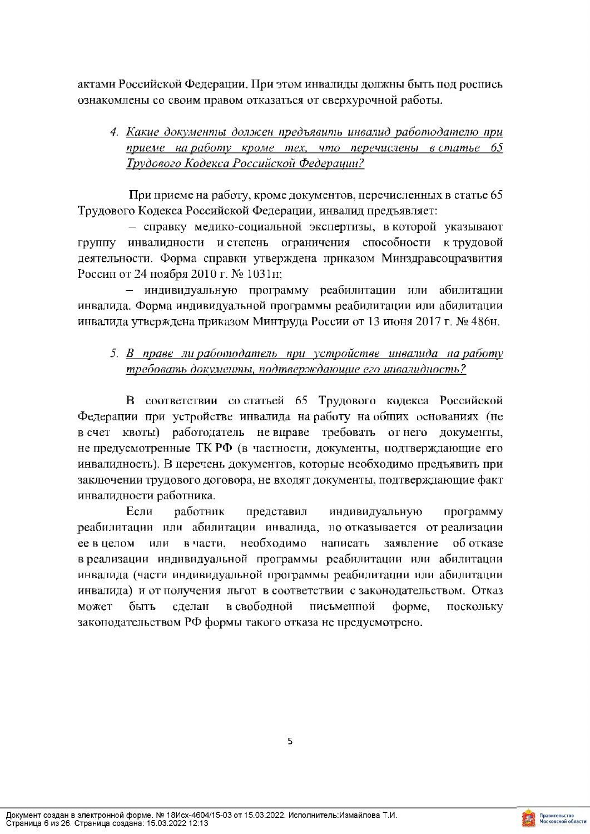актами Российской Федерации. При этом инвалиды должны быть под роспись ознакомлены со своим правом отказаться от сверхурочной работы.

# 4. Какие документы должен предъявить инвалид работодателю при приеме на работу кроме тех, что перечислены в статье 65 Трудового Кодекса Российской Федерации?

При приеме на работу, кроме документов, перечисленных в статье 65 Трудового Кодекса Российской Федерации, инвалид предъявляет:

- справку медико-социальной экспертизы, в которой указывают инвалидности и степень ограничения способности к трудовой Группу деятельности. Форма справки утверждена приказом Минздравсоцразвития России от 24 ноября 2010 г. № 1031н;

- индивидуальную программу реабилитации или абилитации инвалида. Форма индивидуальной программы реабилитации или абилитации инвалида утверждена приказом Минтруда России от 13 июня 2017 г. № 486н.

# 5. В праве ли работодатель при устройстве инвалида на работу требовать документы, подтверждающие его инвалидность?

В соответствии со статьей 65 Трудового кодекса Российской Федерации при устройстве инвалида на работу на общих основаниях (не в счет квоты) работодатель не вправе требовать от него документы, не предусмотренные ТК РФ (в частности, документы, подтверждающие его инвалидность). В перечень документов, которые необходимо предъявить при заключении трудового договора, не входят документы, подтверждающие факт инвалидности работника.

Если работник представил индивидуальную программу реабилитации или абилитации инвалида, но отказывается отреализации необходимо написать ее в целом **ИЛИ** в части, заявление об отказе в реализации индивидуальной программы реабилитации или абилитации инвалида (части индивидуальной программы реабилитации или абилитации инвалида) и от получения льгот в соответствии с законодательством. Отказ быть может сделан в свободной письменной форме, поскольку законодательством РФ формы такого отказа не предусмотрено.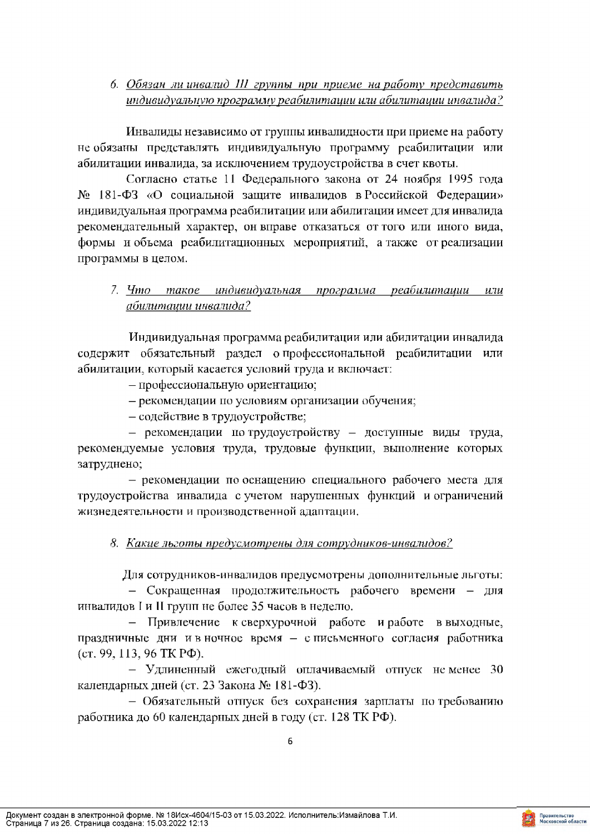6. Обязан ли инвалид III группы при приеме на работу представить индивидуальную программу реабилитации или абилитации инвалида?

Инвалиды независимо от группы инвалидности при приеме на работу не обязаны представлять индивидуальную программу реабилитации или абилитации инвалида, за исключением трудоустройства в счет квоты.

Согласно статье 11 Федерального закона от 24 ноября 1995 года № 181-ФЗ «О социальной защите инвалидов в Российской Федерации» индивидуальная программа реабилитации или абилитации имеет для инвалида рекомендательный характер, он вправе отказаться от того или иного вида, формы и объема реабилитационных мероприятий, а также от реализации программы в целом.

# 7. Что такое индивидуальная программа реабилитации или абилиташии инвалида?

Индивидуальная программа реабилитации или абилитации инвалида содержит обязательный раздел опрофессиональной реабилитации или абилитации, который касается условий труда и включает:

- профессиональную ориентацию;

- рекомендации по условиям организации обучения;

- содействие в трудоустройстве;

- рекомендации по трудоустройству - доступные виды труда, рекомендуемые условия труда, трудовые функции, выполнение которых затруднено;

- рекомендации по оснащению специального рабочего места для трудоустройства инвалида с учетом нарушенных функций и ограничений жизнедеятельности и производственной адаптации.

## 8. Какие льготы предусмотрены для сотрудников-инвалидов?

Для сотрудников-инвалидов предусмотрены дополнительные льготы:

- Сокращенная продолжительность рабочего времени - для инвалидов I и II групп не более 35 часов в неделю.

- Привлечение к сверхурочной работе и работе в выходные, праздничные дни и в ночное время - с письменного согласия работника (cr. 99, 113, 96 TK P $\Phi$ ).

- Удлиненный ежегодный оплачиваемый отпуск неменее 30 календарных дней (ст. 23 Закона № 181-ФЗ).

- Обязательный отпуск без сохранения зарплаты по требованию работника до 60 календарных дней в году (ст. 128 ТК РФ).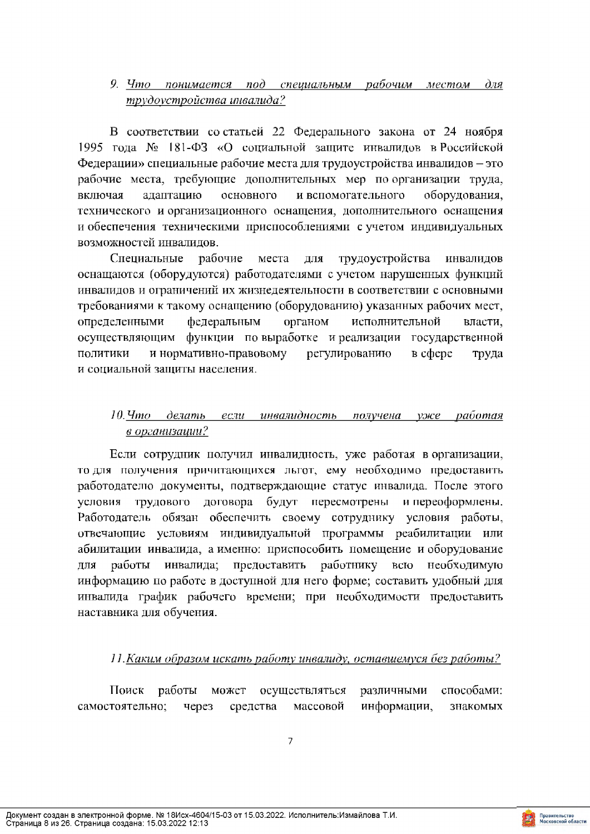#### 9. Что понимается под специальным рабочим местом  $\partial x$ я трудоустройства инвалида?

В соответствии со статьей 22 Федерального закона от 24 ноября 1995 года № 181-ФЗ «О социальной защите инвалидов в Российской Федерации» специальные рабочие места для трудоустройства инвалидов - это рабочие места, требующие дополнительных мер по организации труда, адаптацию основного и вспомогательного оборудования, включая технического и организационного оснащения, дополнительного оснащения и обеспечения техническими приспособлениями с учетом индивидуальных возможностей инвалидов.

Специальные рабочие места для трудоустройства инвалидов оснащаются (оборудуются) работодателями с учетом нарушенных функций инвалидов и ограничений их жизнедеятельности в соответствии с основными требованиями к такому оснащению (оборудованию) указанных рабочих мест, определенными федеральным органом исполнительной власти, осуществляющим функции по выработке и реализации государственной политики и нормативно-правовому регулированию  $B$  cohepe труда и социальной защиты населения.

# 10. Что делать если инвалидность получена уже работая в организации?

Если сотрудник получил инвалидность, уже работая в организации, то для получения причитающихся льгот, ему необходимо предоставить работодателю документы, подтверждающие статус инвалида. После этого условия трудового договора будут пересмотрены и переоформлены. Работодатель обязан обеспечить своему сотруднику условия работы, отвечающие условиям индивидуальной программы реабилитации или абилитации инвалида, а именно: приспособить помещение и оборудование инвалида; предоставить работнику всю необходимую ДЛЯ работы информацию по работе в доступной для него форме; составить удобный для инвалида график рабочего времени; при необходимости предоставить наставника для обучения.

# 11. Каким образом искать работу инвалиду, оставшемуся без работы?

Поиск работы может осуществляться различными способами: самостоятельно: через средства массовой информации, знакомых

 $\overline{7}$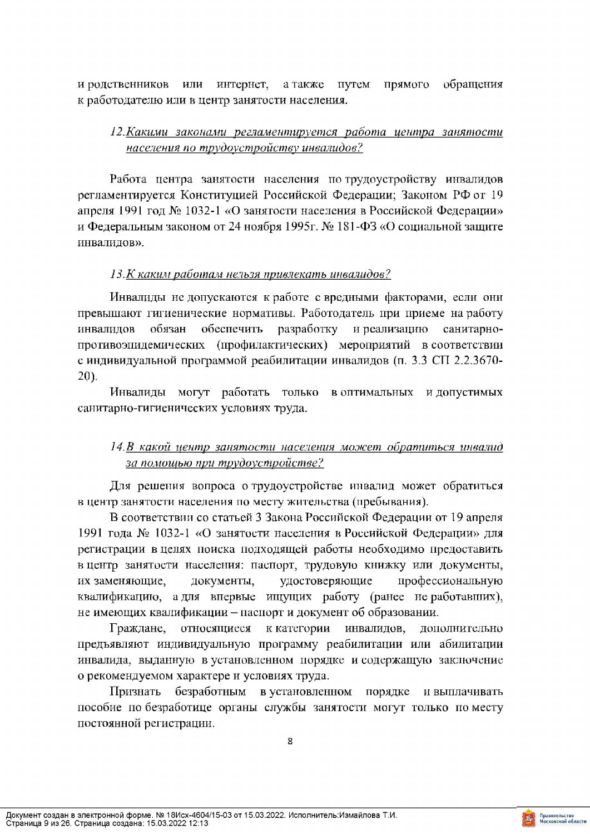и родственников или интернет, а также путем прямого обращения к работодателю или в центр занятости населения.

## 12. Какими законами регламентируется работа центра занятости населения по трудоустройству инвалидов?

Работа центра занятости населения по трудоустройству инвалидов регламентируется Конституцией Российской Федерации; Законом РФ от 19 апреля 1991 год № 1032-1 «О занятости населения в Российской Федерации» и Федеральным законом от 24 ноября 1995г. № 181-ФЗ «О социальной защите инвалидов».

## 13. К каким работам нельзя привлекать инвалидов?

Инвалиды не допускаются к работе с вредными факторами, если они превышают гигиенические нормативы. Работодатель при приеме на работу обязан обеспечить разработку и реализацию инвалидов санитарнопротивоэпидемических (профилактических) мероприятий в соответствии с индивидуальной программой реабилитации инвалидов (п. 3.3 СП 2.2.3670- $20$ ).

Инвалиды могут работать только в оптимальных и допустимых санитарно-гигиенических условиях труда.

# 14.В какой центр занятости населения может обратиться инвалид за помощью при трудоустройстве?

Для решения вопроса о трудоустройстве инвалид может обратиться в центр занятости населения по месту жительства (пребывания).

В соответствии со статьей 3 Закона Российской Федерации от 19 апреля 1991 года № 1032-1 «О занятости населения в Российской Федерации» для регистрации в целях поиска подходящей работы необходимо предоставить в центр занятости населения: паспорт, трудовую книжку или документы, удостоверяющие профессиональную их заменяющие, документы, квалификацию, а для впервые ищущих работу (ранее не работавших), не имеющих квалификации - паспорт и документ об образовании.

Граждане, относящиеся к категории инвалидов, дополнительно предъявляют индивидуальную программу реабилитации или абилитации инвалида, выданную в установленном порядке и содержащую заключение о рекомендуемом характере и условиях труда.

безработным в установленном порядке и выплачивать Признать пособие по безработице органы службы занятости могут только по месту постоянной регистрации.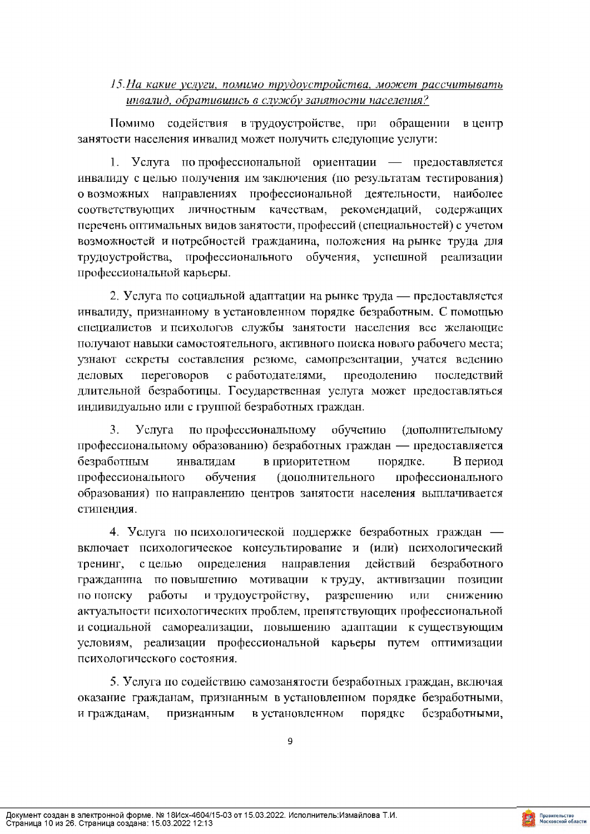## 15. На какие услуги, помимо трудоустройства, может рассчитывать инвалид, обратившись в службу занятости населения?

Помимо содействия в трудоустройстве, при обращении в центр занятости населения инвалид может получить следующие услуги:

1. Услуга попрофессиональной ориентации — предоставляется инвалиду с целью получения им заключения (по результатам тестирования) о возможных направлениях профессиональной деятельности, наиболее соответствующих личностным качествам, рекомендаций, содержащих перечень оптимальных видов занятости, профессий (специальностей) с учетом возможностей и потребностей гражданина, положения на рынке труда для трудоустройства, профессионального обучения, успешной реализации профессиональной карьеры.

2. Услуга по социальной адаптации на рынке труда — предоставляется инвалиду, признанному в установленном порядке безработным. С помощью специалистов и психологов службы занятости населения все желающие получают навыки самостоятельного, активного поиска нового рабочего места; узнают секреты составления резюме, самопрезентации, учатся ведению с работодателями, преодолению деловых переговоров последствий длительной безработицы. Государственная услуга может предоставляться индивидуально или с группой безработных граждан.

обучению 3. Услуга по профессиональному (дополнительному профессиональному образованию) безработных граждан — предоставляется безработным инвалидам в приоритетном порядке. В период профессионального обучения (дополнительного профессионального образования) по направлению центров занятости населения выплачивается стипендия.

4. Услуга по психологической поддержке безработных граждан включает психологическое консультирование и (или) психологический определения направления действий тренинг, с целью безработного гражданина по повышению мотивации к труду, активизации позиции по поиску работы и трудоустройству, разрешению или снижению актуальности психологических проблем, препятствующих профессиональной и социальной самореализации, повышению адаптации к существующим условиям, реализации профессиональной карьеры путем оптимизации психологического состояния.

5. Услуга по содействию самозанятости безработных граждан, включая оказание гражданам, признанным в установленном порядке безработными, в установленном безработными, и гражданам, признанным порядке

 $\overline{9}$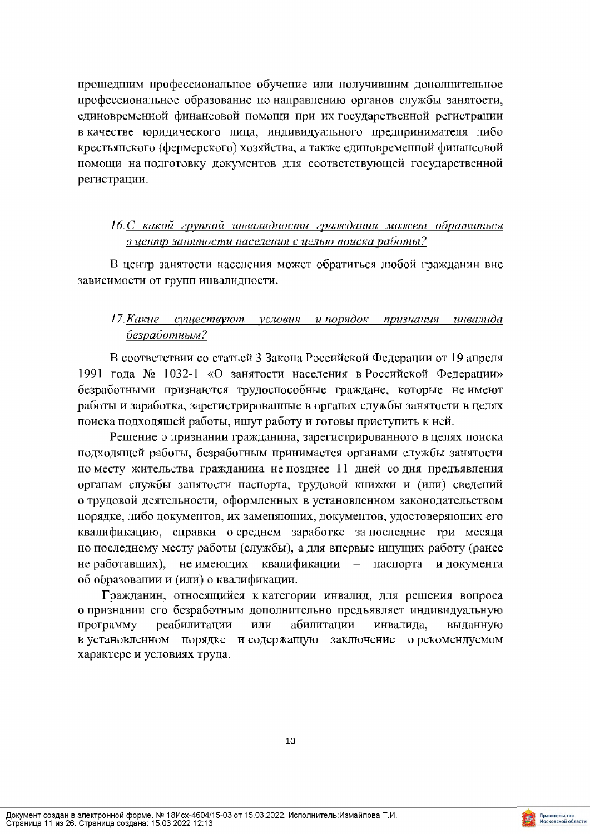прошедшим профессиональное обучение или получившим дополнительное профессиональное образование по направлению органов службы занятости, единовременной финансовой помощи при их государственной регистрации в качестве юридического лица, индивидуального предпринимателя либо крестьянского (фермерского) хозяйства, а также единовременной финансовой помощи на подготовку документов для соответствующей государственной регистрации.

# 16.С какой группой инвалидности гражданин может обратиться в центр занятости населения с целью поиска работы?

В центр занятости населения может обратиться любой гражданин вне зависимости от групп инвалидности.

#### 17. Какие существуют условия и порядок признания инвалида безработным?

В соответствии со статьей 3 Закона Российской Федерации от 19 апреля 1991 года № 1032-1 «О занятости населения в Российской Федерации» безработными признаются трудоспособные граждане, которые неимеют работы и заработка, зарегистрированные в органах службы занятости в целях поиска подходящей работы, ищут работу и готовы приступить к ней.

Решение о признании гражданина, зарегистрированного в целях поиска подходящей работы, безработным принимается органами службы занятости по месту жительства гражданина не позднее 11 дней со дня предъявления органам службы занятости паспорта, трудовой книжки и (или) сведений о трудовой деятельности, оформленных в установленном законодательством порядке, либо документов, их заменяющих, документов, удостоверяющих его квалификацию, справки о среднем заработке за последние три месяца по последнему месту работы (службы), а для впервые ищущих работу (ранее не работавших), не имеющих квалификации - паспорта и документа об образовании и (или) о квалификации.

Гражданин, относящийся к категории инвалид, для решения вопроса о признании его безработным дополнительно предъявляет индивидуальную программу реабилитации или абилитации инвалида, выданную в установленном порядке и содержащую заключение о рекомендуемом характере и условиях труда.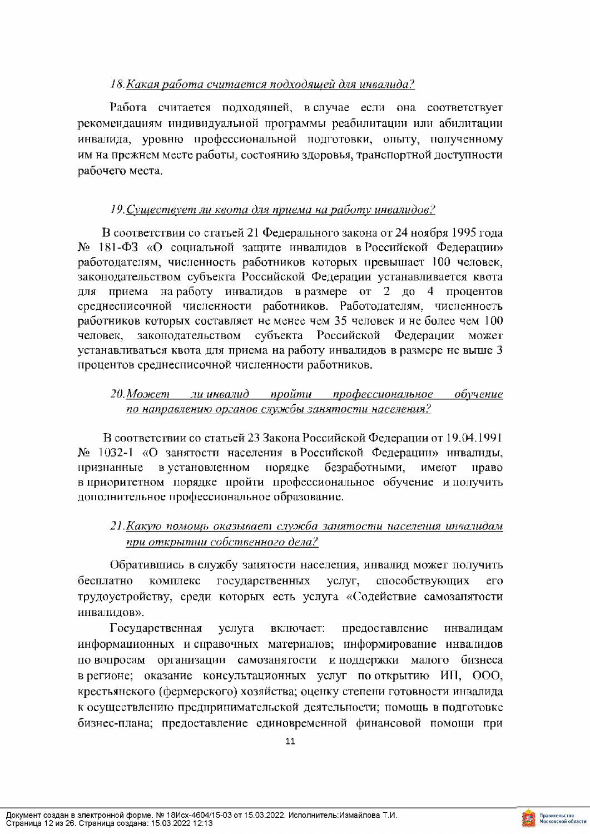## 18. Какая работа считается подходящей для инвалида?

Работа считается подходящей, в случае если она соответствует рекомендациям индивидуальной программы реабилитации или абилитации инвалида, уровню профессиональной подготовки, опыту, полученному им на прежнем месте работы, состоянию здоровья, транспортной доступности рабочего места.

# 19. Существует ли квота для приема на работу инвалидов?

В соответствии со статьей 21 Федерального закона от 24 ноября 1995 года № 181-ФЗ «О социальной защите инвалидов в Российской Федерации» работодателям, численность работников которых превышает 100 человек, законодательством субъекта Российской Федерации устанавливается квота для приема наработу инвалидов вразмере от 2 до 4 процентов среднесписочной численности работников. Работодателям, численность работников которых составляет не менее чем 35 человек и не более чем 100 законодательством субъекта Российской Федерации может человек. устанавливаться квота для приема на работу инвалидов в размере не выше 3 процентов среднесписочной численности работников.

#### 20. Может ли инвалид пройти профессиональное обучение по направлению органов службы занятости населения?

В соответствии со статьей 23 Закона Российской Федерации от 19.04.1991 № 1032-1 «О занятости населения в Российской Федерации» инвалиды, в установленном порядке безработными. признанные имеют право в приоритетном порядке пройти профессиональное обучение и получить дополнительное профессиональное образование.

# 21. Какую помощь оказывает служба занятости населения инвалидам при открытии собственного дела?

Обратившись в службу занятости населения, инвалид может получить бесплатно комплекс государственных услуг, способствующих  $er<sub>o</sub>$ трудоустройству, среди которых есть услуга «Содействие самозанятости инвалидов».

Государственная услуга включает: предоставление инвалидам информационных и справочных материалов; информирование инвалидов по вопросам организации самозанятости и поддержки малого бизнеса в регионе; оказание консультационных услуг по открытию ИП, ООО, крестьянского (фермерского) хозяйства; оценку степени готовности инвалида к осуществлению предпринимательской деятельности; помощь в подготовке бизнес-плана; предоставление единовременной финансовой помощи при

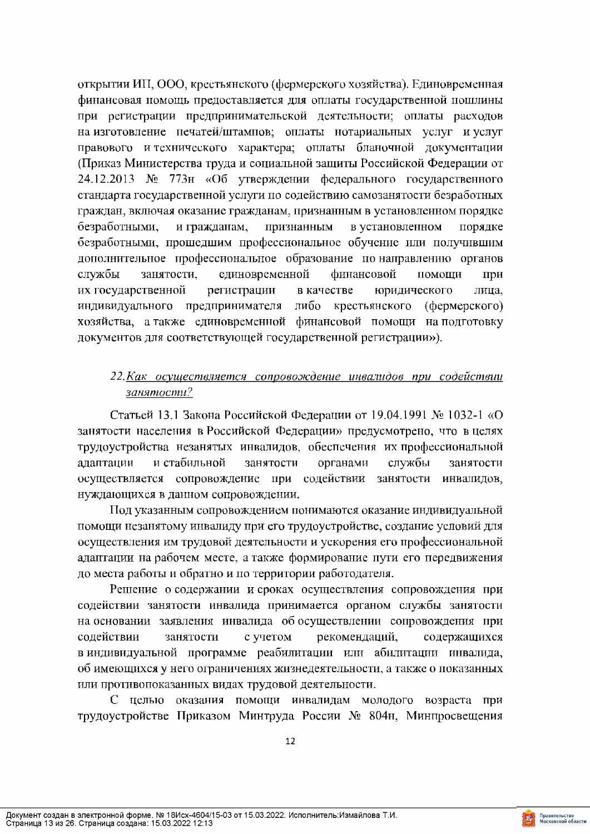открытии ИП, ООО, крестьянского (фермерского хозяйства). Единовременная финансовая помощь предоставляется для оплаты государственной пошлины при регистрации предпринимательской деятельности; оплаты расходов на изготовление печатей/штампов; оплаты нотариальных услуг и услуг правового и технического характера; оплаты бланочной документации (Приказ Министерства труда и социальной защиты Российской Федерации от 24.12.2013 № 773н «Об утверждении федерального государственного стандарта государственной услуги по содействию самозанятости безработных граждан, включая оказание гражданам, признанным в установленном порядке безработными, и гражданам, признанным в установленном порядке безработными, прошедшим профессиональное обучение или получившим дополнительное профессиональное образование по направлению органов службы занятости, единовременной финансовой помощи при их государственной регистрации в качестве юридического лица. индивидуального предпринимателя либо крестьянского (фермерского) хозяйства, а также единовременной финансовой помощи на подготовку документов для соответствующей государственной регистрации»).

#### 22. Как осуществляется сопровождение инвалидов при содействии занятости?

Статьей 13.1 Закона Российской Федерации от 19.04.1991 № 1032-1 «О занятости населения в Российской Федерации» предусмотрено, что в целях трудоустройства незанятых инвалидов, обеспечения их профессиональной и стабильной адаптации занятости органами службы занятости осуществляется сопровождение при содействии занятости инвалидов. нуждающихся в данном сопровождении.

Под указанным сопровождением понимаются оказание индивидуальной помощи незанятому инвалиду при его трудоустройстве, создание условий для осуществления им трудовой деятельности и ускорения его профессиональной адаптации на рабочем месте, а также формирование пути его передвижения до места работы и обратно и по территории работодателя.

Решение о содержании и сроках осуществления сопровождения при содействии занятости инвалида принимается органом службы занятости на основании заявления инвалида об осуществлении сопровождения при содействии занятости с учетом рекомендаций, содержащихся в индивидуальной программе реабилитации или абилитации инвалида, об имеющихся у него ограничениях жизнедеятельности, а также о показанных или противопоказанных видах трудовой деятельности.

С целью оказания помощи инвалидам молодого возраста при трудоустройстве Приказом Минтруда России № 804н, Минпросвещения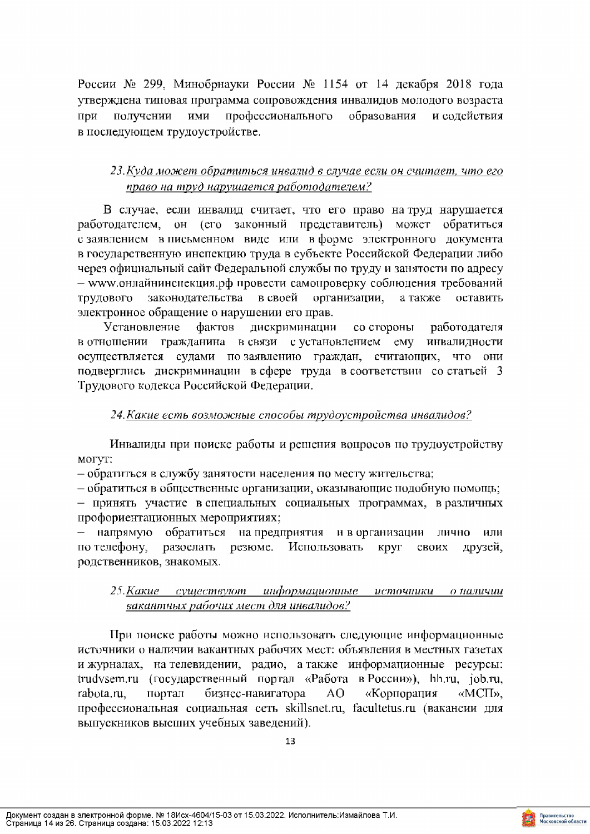России № 299, Минобрнауки России № 1154 от 14 декабря 2018 года утверждена типовая программа сопровождения инвалидов молодого возраста при получении ими профессионального образования и содействия в последующем трудоустройстве.

# 23. Куда может обратиться инвалид в случае если он считает, что его право на труд нарушается работодателем?

В случае, если инвалид считает, что его право на труд нарушается работодателем, он (его законный представитель) может обратиться с заявлением в письменном виде или в форме электронного документа в государственную инспекцию труда в субъекте Российской Федерации либо через официальный сайт Федеральной службы по труду и занятости по адресу - www.онлайнинспекция.рф провести самопроверку соблюдения требований законодательства в своей трудового организации, а также оставить электронное обращение о нарушении его прав.

**Установление** фактов дискриминации со стороны работодателя в отношении гражданина в связи с установлением ему инвалидности осуществляется судами позаявлению граждан, считающих, что они подверглись дискриминации в сфере труда в соответствии со статьей 3 Трудового кодекса Российской Федерации.

#### 24. Какие есть возможные способы трудоустройства инвалидов?

Инвалиды при поиске работы и решения вопросов по трудоустройству могут:

– обратиться в службу занятости населения по месту жительства;

- обратиться в общественные организации, оказывающие подобную помощь;

- принять участие в специальных социальных программах, в различных профориентационных мероприятиях;

- напрямую обратиться на предприятия и в организации лично или по телефону, разослать резюме. Использовать круг **CBOHX** друзей, родственников, знакомых.

#### 25. Какие существуют информационные источники о-наличии вакантных рабочих мест для инвалидов?

При поиске работы можно использовать следующие информационные источники о наличии вакантных рабочих мест: объявления в местных газетах и журналах, на телевидении, радио, а также информационные ресурсы: trudvsem.ru (государственный портал «Работа в России»), hh.ru, job.ru, бизнес-навигатора rabota.ru. портал AO. «Корпорация «MCII». профессиональная социальная сеть skillsnet.ru, facultetus.ru (вакансии для выпускников высших учебных заведений).

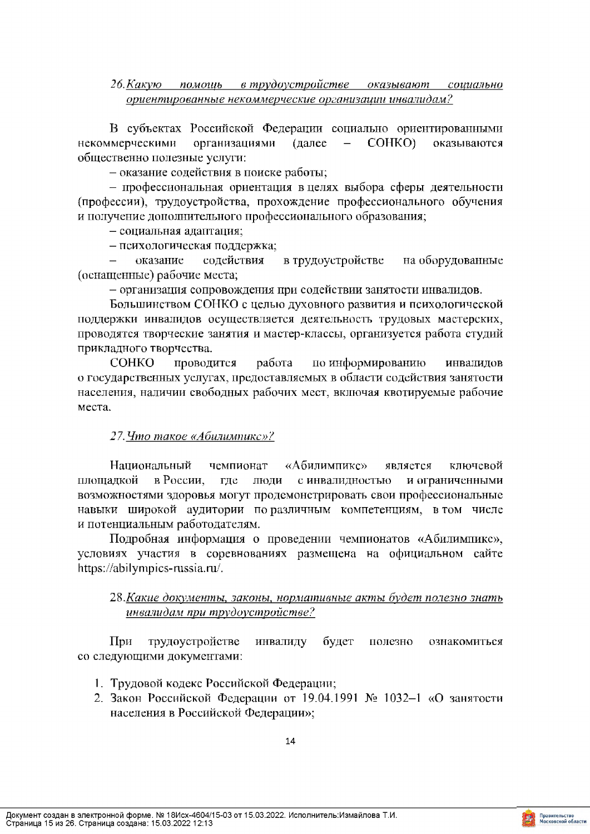#### 26. Какую помощь в трудоустройстве оказывают социально ориентированные некоммерческие организации инвалидам?

В субъектах Российской Федерации социально ориентированными некоммерческими (далее COHKO) организациями оказываются общественно полезные услуги:

- оказание содействия в поиске работы;

- профессиональная ориентация в целях выбора сферы деятельности (профессии), трудоустройства, прохождение профессионального обучения и получение дополнительного профессионального образования;

- социальная адаптация;

- психологическая поддержка;

содействия в трудоустройстве на оборудованные оказание (оснащенные) рабочие места;

- организация сопровождения при содействии занятости инвалидов.

Большинством СОНКО с целью духовного развития и психологической поддержки инвалидов осуществляется деятельность трудовых мастерских, проводятся творческие занятия и мастер-классы, организуется работа студий прикладного творчества.

**COHKO** проводится работа по информированию инвалидов о государственных услугах, предоставляемых в области содействия занятости населения, наличии свободных рабочих мест, включая квотируемые рабочие места.

#### 27. Что такое «Абилимпикс»?

Национальный чемпионат «Абилимпике» является ключевой площадкой в России. где ЛЮДИ с инвалидностью и ограниченными возможностями здоровья могут продемонстрировать свои профессиональные навыки широкой аудитории по различным компетенциям, в том числе и потенциальным работодателям.

Подробная информация о проведении чемпионатов «Абилимпикс», условиях участия в соревнованиях размещена на официальном сайте https://abilympics-russia.ru/.

#### 28. Какие документы, законы, нормативные акты будет полезно знать инвалидам при трудоустройстве?

При трудоустройстве инвалиду будет полезно ознакомиться со следующими документами:

- 1. Трудовой кодекс Российской Федерации;
- 2. Закон Российской Федерации от 19.04.1991 № 1032-1 «О занятости населения в Российской Федерации»;

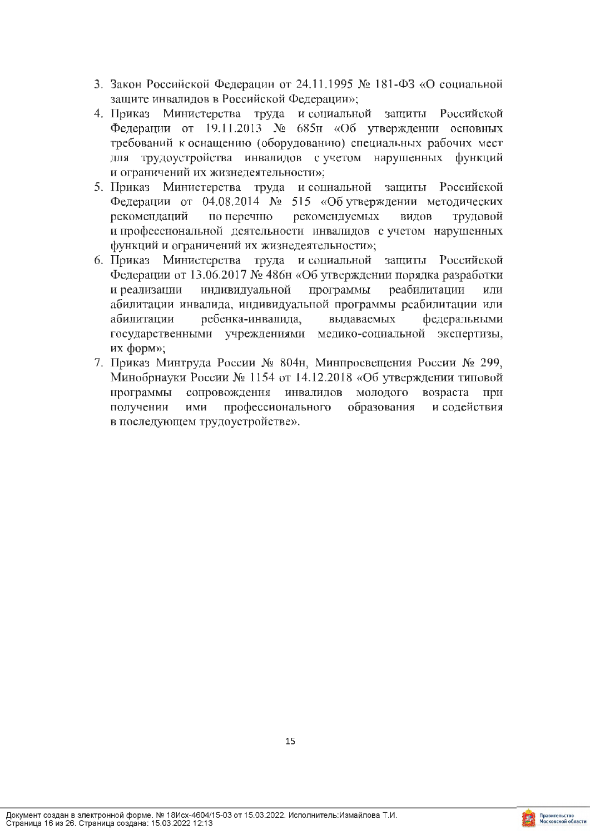- 3. Закон Российской Федерации от 24.11.1995 № 181-ФЗ «О социальной защите инвалидов в Российской Федерации»;
- 4. Приказ Министерства труда и социальной защиты Российской Федерации от 19.11.2013 № 685н «Об утверждении основных требований к оснащению (оборудованию) специальных рабочих мест для трудоустройства инвалидов с учетом нарушенных функций и ограничений их жизнедеятельности»;
- 5. Приказ Министерства труда и социальной защиты Российской Федерации от 04.08.2014 № 515 «Об утверждении методических рекомендаций по перечню рекомендуемых видов трудовой и профессиональной деятельности инвалидов с учетом нарушенных функций и ограничений их жизнедеятельности»;
- 6. Приказ Министерства труда и социальной защиты Российской Федерации от 13.06.2017 № 486н «Об утверждении порядка разработки индивидуальной программы реабилитации и реализации или абилитации инвалида, индивидуальной программы реабилитации или ребенка-инвалида, выдаваемых федеральными абилитации государственными учреждениями медико-социальной экспертизы, их форм»;
- 7. Приказ Минтруда России № 804н, Минпросвещения России № 299, Минобрнауки России № 1154 от 14.12.2018 «Об утверждении типовой сопровождения инвалидов молодого программы возраста при получении ими профессионального образования и содействия в последующем трудоустройстве».

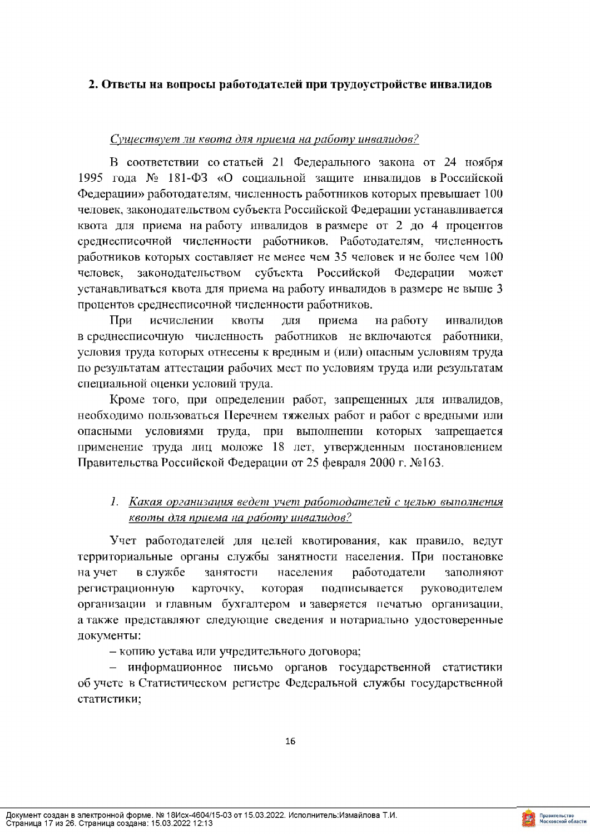#### 2. Ответы на вопросы работодателей при трудоустройстве инвалидов

#### Существует ли квота для приема на работу инвалидов?

В соответствии со статьей 21 Федерального закона от 24 ноября 1995 года № 181-ФЗ «О социальной защите инвалидов в Российской Федерации» работодателям, численность работников которых превышает 100 человек, законодательством субъекта Российской Федерации устанавливается квота для приема на работу инвалидов в размере от 2 до 4 процентов среднесписочной численности работников. Работодателям, численность работников которых составляет не менее чем 35 человек и не более чем 100 законодательством субъекта Российской Федерации может человек, устанавливаться квота для приема на работу инвалидов в размере не выше 3 процентов среднесписочной численности работников.

При исчислении на работу квоты ЛЛЯ приема инвалидов в среднесписочную численность работников не включаются работники, условия труда которых отнесены к вредным и (или) опасным условиям труда по результатам аттестации рабочих мест по условиям труда или результатам специальной оценки условий труда.

Кроме того, при определении работ, запрещенных для инвалидов, необходимо пользоваться Перечнем тяжелых работ и работ с вредными или опасными условиями труда, при выполнении которых запрещается применение труда лиц моложе 18 лет, утвержденным постановлением Правительства Российской Федерации от 25 февраля 2000 г. №163.

# 1. Какая организация ведет учет работодателей с целью выполнения квоты для приема на работу инвалидов?

Учет работодателей для целей квотирования, как правило, ведут территориальные органы службы занятности населения. При постановке на учет в службе занятости населения работодатели заполняют регистрационную карточку. которая подписывается руководителем организации и главным бухгалтером и заверяется печатью организации, а также представляют следующие сведения и нотариально удостоверенные документы:

- копию устава или учредительного договора;

- информационное письмо органов государственной статистики об учете в Статистическом регистре Федеральной службы государственной статистики;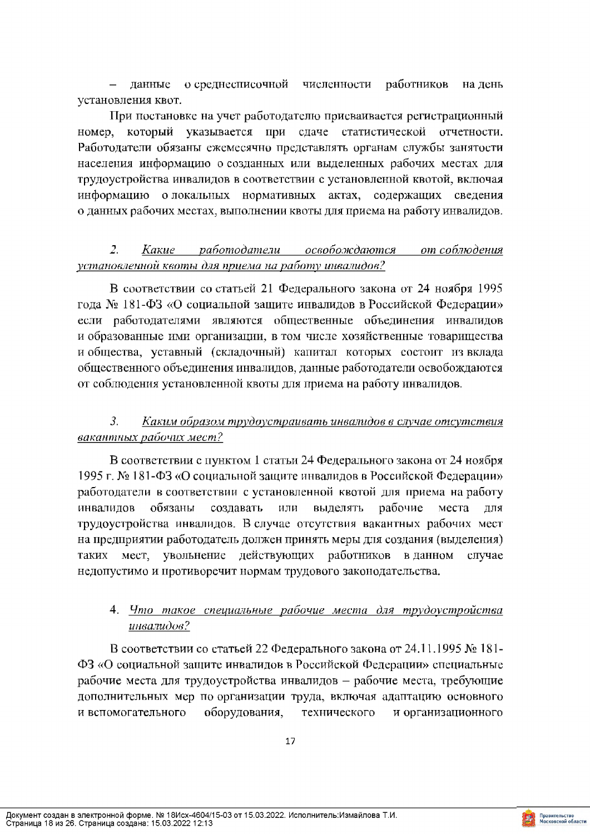о среднесписочной численности работников данные на день установления квот.

При постановке на учет работодателю присваивается регистрационный номер, который указывается при сдаче статистической отчетности. Работодатели обязаны ежемесячно представлять органам службы занятости населения информацию о созданных или выделенных рабочих местах для трудоустройства инвалидов в соответствии с установленной квотой, включая информацию о локальных нормативных актах, содержащих сведения о данных рабочих местах, выполнении квоты для приема на работу инвалидов.

#### $\overline{Z}$ . Какие работодатели освобождаются от соблюдения установленной квоты для приема на работу инвалидов?

В соответствии со статьей 21 Федерального закона от 24 ноября 1995 года № 181-ФЗ «О социальной защите инвалидов в Российской Федерации» если работодателями являются общественные объединения инвалидов и образованные ими организации, в том числе хозяйственные товарищества и общества, уставный (складочный) капитал которых состоит из вклада общественного объединения инвалидов, данные работодатели освобождаются от соблюдения установленной квоты для приема на работу инвалидов.

#### $3.$ Каким образом трудоустраивать инвалидов в случае отсутствия вакантных рабочих мест?

В соответствии с пунктом 1 статьи 24 Федерального закона от 24 ноября 1995 г. № 181-ФЗ «О социальной защите инвалидов в Российской Федерации» работодатели в соответствии с установленной квотой для приема на работу инвалидов обязаны создавать или выделять рабочие места для трудоустройства инвалидов. В случае отсутствия вакантных рабочих мест на предприятии работодатель должен принять меры для создания (выделения) мест, увольнение действующих работников таких в данном случае недопустимо и противоречит нормам трудового законодательства.

# 4. Что такое специальные рабочие места для трудоустройства инвалидов?

В соответствии со статьей 22 Федерального закона от 24.11.1995 № 181-ФЗ «О социальной защите инвалидов в Российской Федерации» специальные рабочие места для трудоустройства инвалидов - рабочие места, требующие дополнительных мер по организации труда, включая адаптацию основного и вспомогательного оборудования, технического и организационного

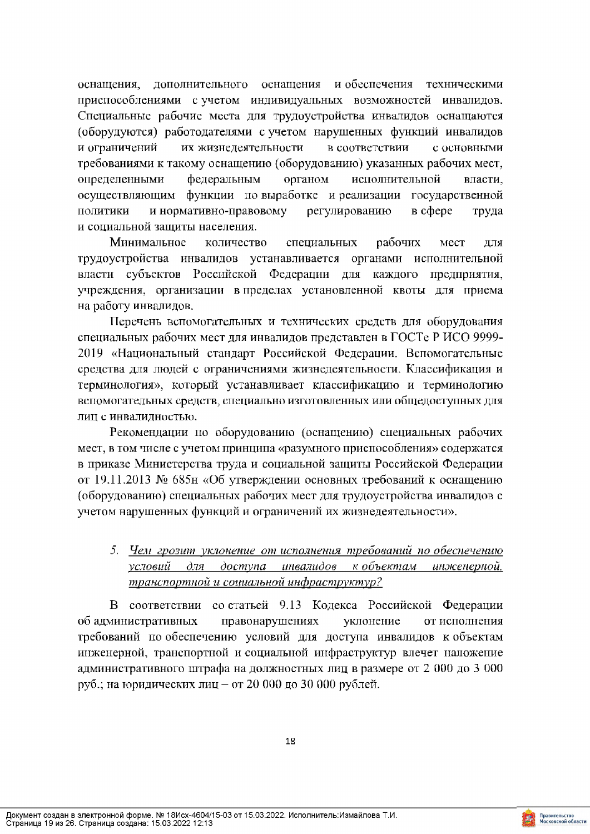оснащения, дополнительного оснащения и обеспечения техническими приспособлениями с учетом индивидуальных возможностей инвалидов. Специальные рабочие места для трудоустройства инвалидов оснащаются (оборудуются) работодателями с учетом нарушенных функций инвалидов и ограничений их жизнедеятельности в соответствии с основными требованиями к такому оснащению (оборудованию) указанных рабочих мест, определенными федеральным органом исполнительной власти. осуществляющим функции по выработке и реализации государственной ПОЛИТИКИ и нормативно-правовому регулированию в сфере труда и социальной защиты населения.

Минимальное специальных рабочих количество мест ДЛЯ трудоустройства инвалидов устанавливается органами исполнительной власти субъектов Российской Федерации для каждого предприятия, учреждения, организации в пределах установленной квоты для приема на работу инвалидов.

Перечень вспомогательных и технических средств для оборудования специальных рабочих мест для инвалидов представлен в ГОСТе Р ИСО 9999-2019 «Национальный стандарт Российской Федерации. Вспомогательные средства для людей с ограничениями жизнедеятельности. Классификация и терминология», который устанавливает классификацию и терминологию вспомогательных средств, специально изготовленных или общедоступных для лиц с инвалидностью.

Рекомендации по оборудованию (оснащению) специальных рабочих мест, в том числе с учетом принципа «разумного приспособления» содержатся в приказе Министерства труда и социальной защиты Российской Федерации от 19.11.2013 № 685н «Об утверждении основных требований к оснащению (оборудованию) специальных рабочих мест для трудоустройства инвалидов с учетом нарушенных функций и ограничений их жизнедеятельности».

5. Чем грозит уклонение от исполнения требований по обеспечению условий для доступа инвалидов кобъектам инженерной, транспортной и социальной инфраструктур?

В соответствии со статьей 9.13 Кодекса Российской Федерации об административных правонарушениях уклонение от исполнения требований по обеспечению условий для доступа инвалидов кобъектам инженерной, транспортной и социальной инфраструктур влечет наложение административного штрафа на должностных лиц в размере от 2 000 до 3 000 руб.; на юридических лиц - от 20 000 до 30 000 рублей.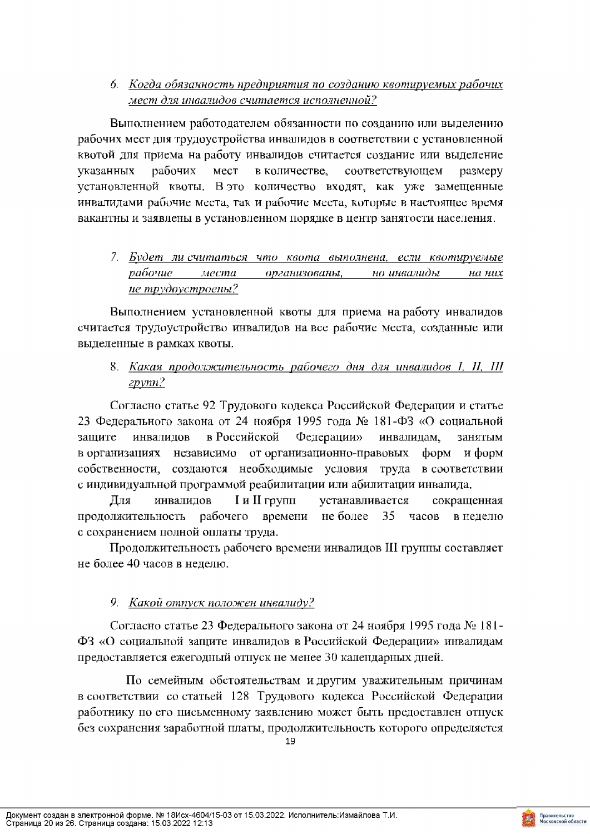6. Когда обязанность предприятия по созданию квотируемых рабочих мест для инвалидов считается исполненной?

Выполнением работодателем обязанности по созданию или выделению рабочих мест для трудоустройства инвалидов в соответствии с установленной квотой для приема на работу инвалидов считается создание или выделение указанных рабочих мест в количестве, соответствующем размеру установленной квоты. В это количество входят, как уже замещенные инвалидами рабочие места, так и рабочие места, которые в настоящее время вакантны и заявлены в установленном порядке в центр занятости населения.

7. Будет ли считаться что квота выполнена, если квотируемые рабочие места организованы, но инвалиды  $ha$ них не трудоустроены?

Выполнением установленной квоты для приема на работу инвалидов считается трудоустройство инвалидов на все рабочие места, созданные или выделенные в рамках квоты.

8. Какая продолжительность рабочего дня для инвалидов I, II, III  $zpvm1?$ 

Согласно статье 92 Трудового кодекса Российской Федерации и статье 23 Федерального закона от 24 ноября 1995 года № 181-ФЗ «О социальной инвалидов в Российской Федерации» защите инвалидам, занятым в организациях независимо от организационно-правовых форм и форм собственности, создаются необходимые условия труда в соответствии с индивидуальной программой реабилитации или абилитации инвалида.

**I** и **II** групп Для инвалидов устанавливается сокращенная рабочего времени не более 35 продолжительность часов в неделю с сохранением полной оплаты труда.

Продолжительность рабочего времени инвалидов III группы составляет не более 40 часов в неделю.

# 9. Какой отпуск положен инвалиду?

Согласно статье 23 Федерального закона от 24 ноября 1995 года № 181-ФЗ «О социальной защите инвалидов в Российской Федерации» инвалидам предоставляется ежегодный отпуск не менее 30 календарных дней.

По семейным обстоятельствам и другим уважительным причинам в соответствии со статьей 128 Трудового кодекса Российской Федерации работнику по его письменному заявлению может быть предоставлен отпуск без сохранения заработной платы, продолжительность которого определяется

19

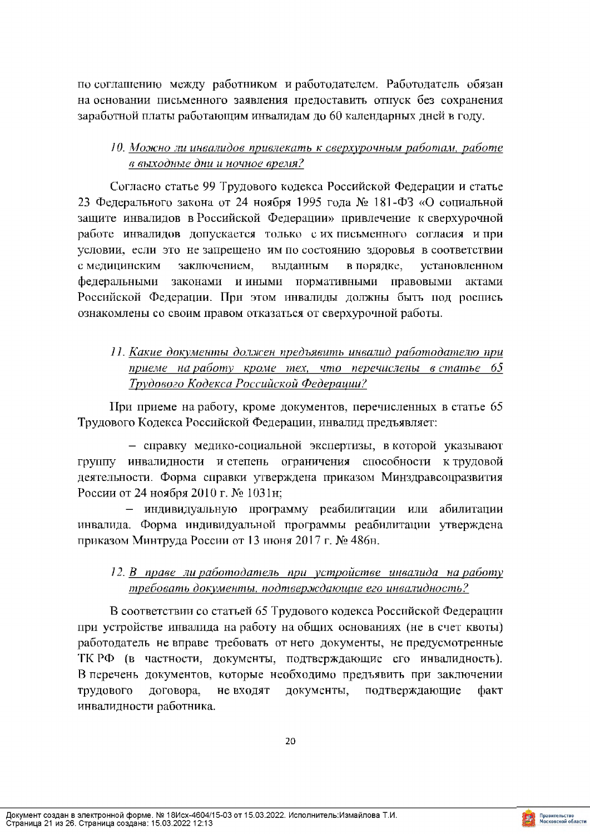по соглашению между работником и работодателем. Работодатель обязан на основании письменного заявления предоставить отпуск без сохранения заработной платы работающим инвалидам до 60 календарных дней в году.

# 10. Можно ли инвалидов привлекать к сверхурочным работам, работе в выходные дни и ночное время?

Согласно статье 99 Трудового кодекса Российской Федерации и статье 23 Федерального закона от 24 ноября 1995 года № 181-ФЗ «О социальной защите инвалидов в Российской Федерации» привлечение к сверхурочной работе инвалидов допускается только с их письменного согласия и при условии, если это не запрещено им по состоянию здоровья в соответствии заключением, с медицинским выданным в порядке, установленном федеральными законами и иными нормативными правовыми актами Российской Федерации. При этом инвалиды должны быть под роспись ознакомлены со своим правом отказаться от сверхурочной работы.

# 11. Какие документы должен предъявить инвалид работодателю при приеме на работу кроме тех, что перечислены в статье 65 Трудового Кодекса Российской Федерации?

При приеме на работу, кроме документов, перечисленных в статье 65 Трудового Кодекса Российской Федерации, инвалид предъявляет:

- справку медико-социальной экспертизы, в которой указывают группу инвалидности и степень ограничения способности к трудовой деятельности. Форма справки утверждена приказом Минздравсоцразвития России от 24 ноября 2010 г. № 1031н;

- индивидуальную программу реабилитации или абилитации инвалида. Форма индивидуальной программы реабилитации утверждена приказом Минтруда России от 13 июня 2017 г. № 486н.

# 12. В праве ли работодатель при устройстве инвалида на работу требовать документы, подтверждающие его инвалидность?

В соответствии со статьей 65 Трудового кодекса Российской Федерации при устройстве инвалида на работу на общих основаниях (не в счет квоты) работодатель не вправе требовать от него документы, не предусмотренные ТК РФ (в частности, документы, подтверждающие его инвалидность). В перечень документов, которые необходимо предъявить при заключении трудового договора, не входят документы, подтверждающие факт инвалидности работника.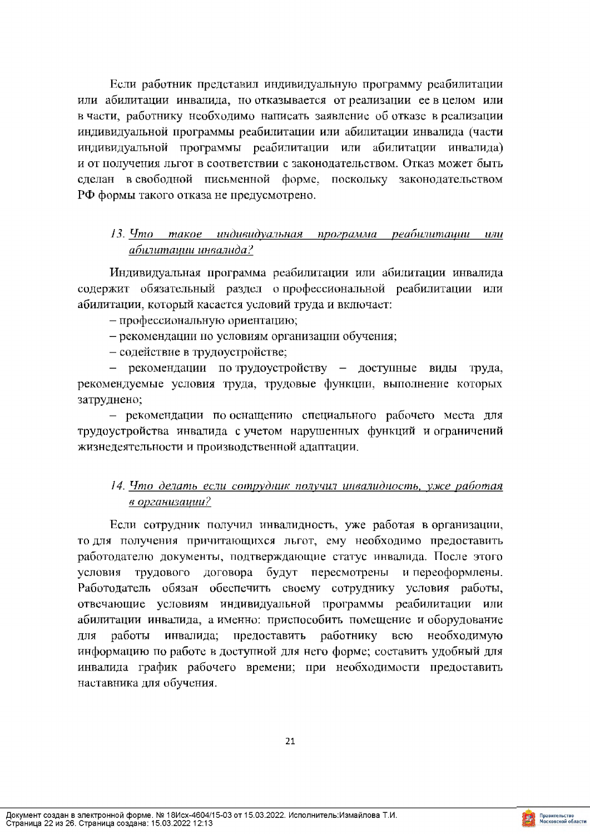Если работник представил индивидуальную программу реабилитации или абилитации инвалида, но отказывается от реализации ее в целом или в части, работнику необходимо написать заявление об отказе в реализации индивидуальной программы реабилитации или абилитации инвалида (части индивидуальной программы реабилитации или абилитации инвалида) и от получения льгот в соответствии с законодательством. Отказ может быть сделан в свободной письменной форме, поскольку законодательством РФ формы такого отказа не предусмотрено.

# 13. Что такое индивидуальная программа реабилитации или абилитации инвалида?

Индивидуальная программа реабилитации или абилитации инвалида содержит обязательный раздел опрофессиональной реабилитации или абилитации, который касается условий труда и включает:

- профессиональную ориентацию;

- рекомендации по условиям организации обучения;
- содействие в трудоустройстве;

- рекомендации по-трудоустройству - доступные виды труда, рекомендуемые условия труда, трудовые функции, выполнение которых затруднено;

- рекомендации по оснащению специального рабочего места для трудоустройства инвалида с учетом нарушенных функций и ограничений жизнедеятельности и производственной адаптации.

# 14. Что делать если сотрудник получил инвалидность, уже работая в организации?

Если сотрудник получил инвалидность, уже работая в организации, то для получения причитающихся льгот, ему необходимо предоставить работодателю документы, подтверждающие статус инвалида. После этого условия трудового договора будут пересмотрены и переоформлены. Работодатель обязан обеспечить своему сотруднику условия работы, отвечающие условиям индивидуальной программы реабилитации или абилитации инвалида, а именно: приспособить помещение и оборудование инвалида; предоставить работнику для работы всю необходимую информацию по работе в доступной для него форме; составить удобный для инвалида график рабочего времени; при необходимости предоставить наставника для обучения.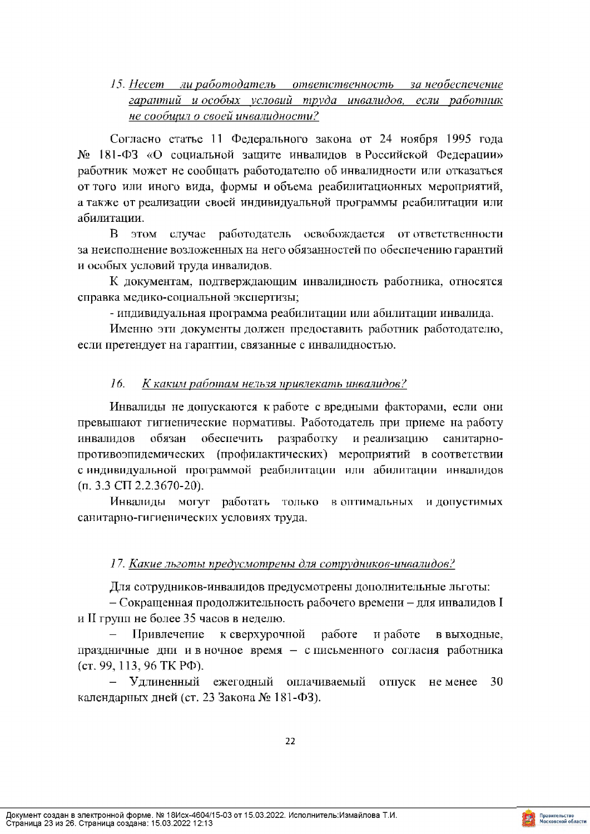# 15. Несет ли работодатель ответственность за необеспечение гарантий и особых условий труда инвалидов, если работник не сообщил о своей инвалидности?

Согласно статье 11 Федерального закона от 24 ноября 1995 года № 181-ФЗ «О социальной защите инвалидов в Российской Федерации» работник может не сообщать работодателю об инвалидности или отказаться от того или иного вида, формы и объема реабилитационных мероприятий, а также от реализации своей индивидуальной программы реабилитации или абилитации.

 $\mathbf{B}$ этом случае работодатель освобождается от ответственности за неисполнение возложенных на него обязанностей по обеспечению гарантий и особых условий труда инвалидов.

К документам, подтверждающим инвалидность работника, относятся справка медико-социальной экспертизы;

- индивидуальная программа реабилитации или абилитации инвалида.

Именно эти документы должен предоставить работник работодателю, если претендует на гарантии, связанные с инвалидностью.

#### 16. К каким работам нельзя привлекать инвалидов?

Инвалиды не допускаются к работе с вредными факторами, если они превышают гигиенические нормативы. Работодатель при приеме на работу обеспечить инвалидов обязан разработку и реализацию санитарнопротивоэпидемических (профилактических) мероприятий в соответствии с индивидуальной программой реабилитации или абилитации инвалидов  $(\pi, 3.3 \text{ C} \Pi \ 2.2.3670 - 20).$ 

Инвалиды могут работать только в оптимальных и допустимых санитарно-гигиенических условиях труда.

## 17. Какие льготы предусмотрены для сотрудников-инвалидов?

Для сотрудников-инвалидов предусмотрены дополнительные льготы:

- Сокращенная продолжительность рабочего времени - для инвалидов I и II групп не более 35 часов в неделю.

Привлечение к сверхурочной работе и работе в выходные. праздничные дни и в ночное время - с письменного согласия работника (cr. 99, 113, 96 TK P $\Phi$ ).

- Удлиненный ежегодный оплачиваемый отпуск неменее 30 календарных дней (ст. 23 Закона № 181-ФЗ).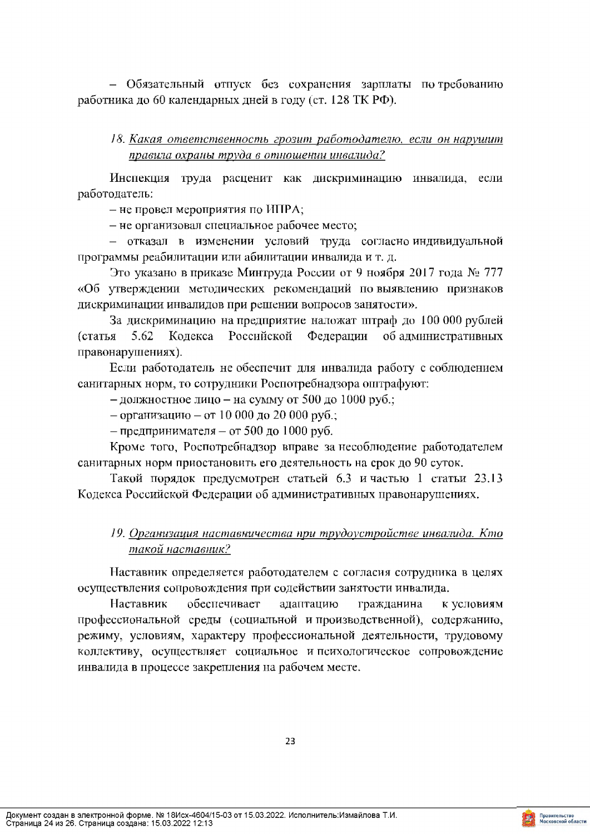- Обязательный отпуск без сохранения зарплаты по-требованию работника до 60 календарных дней в году (ст. 128 ТК РФ).

# 18. Какая ответственность грозит работодателю, если он нарушит правила охраны труда в отношении инвалида?

Инспекция труда расценит как дискриминацию инвалида, если работодатель:

- не провел мероприятия по ИПРА;

- не организовал специальное рабочее место;

- отказал в изменении условий труда согласно-индивидуальной программы реабилитации или абилитации инвалида и т. д.

Это указано в приказе Минтруда России от 9 ноября 2017 года № 777 «Об утверждении методических рекомендаций по выявлению признаков дискриминации инвалидов при решении вопросов занятости».

За дискриминацию на предприятие наложат штраф до 100 000 рублей (статья 5.62 Кодекса Российской Федерации об административных правонарушениях).

Если работодатель не обеспечит для инвалида работу с соблюдением санитарных норм, то сотрудники Роспотребнадзора оштрафуют:

- должностное лицо - на сумму от 500 до 1000 руб.;

- организацию - от 10 000 до 20 000 руб.;

- предпринимателя - от 500 до 1000 руб.

Кроме того, Роспотребнадзор вправе за несоблюдение работодателем санитарных норм приостановить его деятельность на срок до 90 суток.

Такой порядок предусмотрен статьей 6.3 и частью 1 статьи 23.13 Кодекса Российской Федерации об административных правонарушениях.

# 19. Организация наставничества при трудоустройстве инвалида. Кто такой наставник?

Наставник определяется работодателем с согласия сотрудника в целях осуществления сопровождения при содействии занятости инвалида.

Наставник обеспечивает адаптацию гражданина к условиям профессиональной среды (социальной и производственной), содержанию, режиму, условиям, характеру профессиональной деятельности, трудовому коллективу, осуществляет социальное и психологическое сопровождение инвалида в процессе закрепления на рабочем месте.

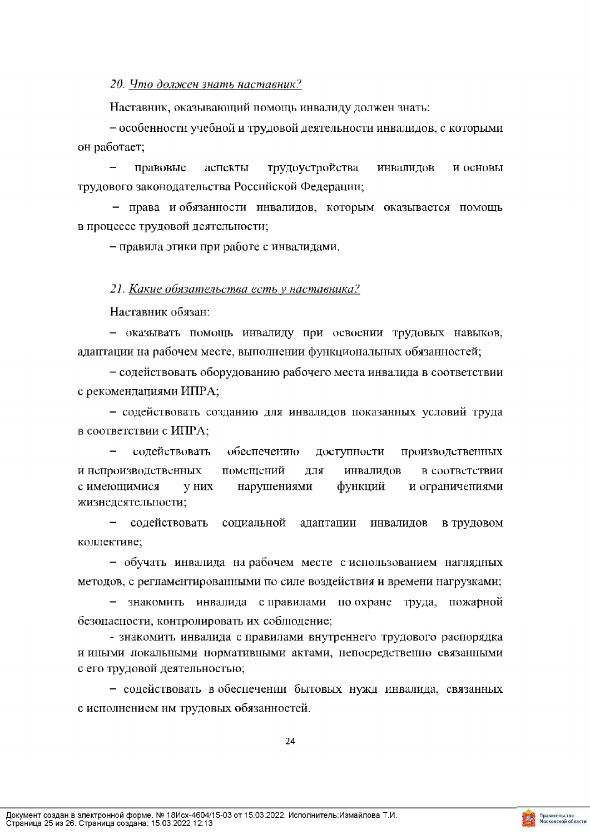20. Что должен знать наставник?

Наставник, оказывающий помощь инвалиду должен знать:

- особенности учебной и трудовой деятельности инвалидов, с которыми он работает;

правовые аспекты трудоустройства инвалидов и основы трудового законодательства Российской Федерации;

- права и обязанности инвалидов, которым оказывается помощь в процессе трудовой деятельности;

- правила этики при работе с инвалидами.

#### 21. Какие обязательства есть у наставника?

Наставник обязан:

- оказывать помощь инвалиду при освоении трудовых навыков, адаптации на рабочем месте, выполнении функциональных обязанностей;

- содействовать оборудованию рабочего места инвалида в соответствии с рекомендациями ИПРА;

- содействовать созданию для инвалидов показанных условий труда в соответствии с ИПРА;

содействовать обеспечению доступности производственных и непроизводственных помещений  $\rm H\rm I\rm I\rm I$ инвалидов в соответствии с имеющимися у них нарушениями функций и ограничениями жизнедеятельности;

- содействовать социальной адаптации инвалидов в трудовом коллективе;

- обучать инвалида на рабочем месте с использованием наглядных методов, с регламентированными по силе воздействия и времени нагрузками;

знакомить инвалида справилами по-охране труда, пожарной безопасности, контролировать их соблюдение;

- знакомить инвалида с правилами внутреннего трудового распорядка и иными локальными нормативными актами, непосредственно связанными с его трудовой деятельностью;

- содействовать в обеспечении бытовых нужд инвалида, связанных с исполнением им трудовых обязанностей.